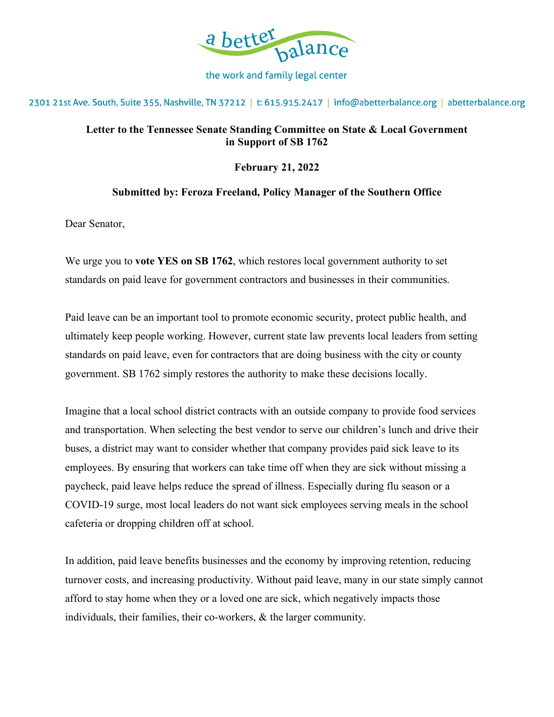

the work and family legal center

2301 21st Ave. South, Suite 355, Nashville, TN 37212 | t: 615.915.2417 | info@abetterbalance.org | abetterbalance.org

## **Letter to the Tennessee Senate Standing Committee on State & Local Government in Support of SB 1762**

**February 21, 2022**

## **Submitted by: Feroza Freeland, Policy Manager of the Southern Office**

Dear Senator,

We urge you to **vote YES on SB 1762**, which restores local government authority to set standards on paid leave for government contractors and businesses in their communities.

Paid leave can be an important tool to promote economic security, protect public health, and ultimately keep people working. However, current state law prevents local leaders from setting standards on paid leave, even for contractors that are doing business with the city or county government. SB 1762 simply restores the authority to make these decisions locally.

Imagine that a local school district contracts with an outside company to provide food services and transportation. When selecting the best vendor to serve our children's lunch and drive their buses, a district may want to consider whether that company provides paid sick leave to its employees. By ensuring that workers can take time off when they are sick without missing a paycheck, paid leave helps reduce the spread of illness. Especially during flu season or a COVID-19 surge, most local leaders do not want sick employees serving meals in the school cafeteria or dropping children off at school.

In addition, paid leave benefits businesses and the economy by improving retention, reducing turnover costs, and increasing productivity. Without paid leave, many in our state simply cannot afford to stay home when they or a loved one are sick, which negatively impacts those individuals, their families, their co-workers, & the larger community.